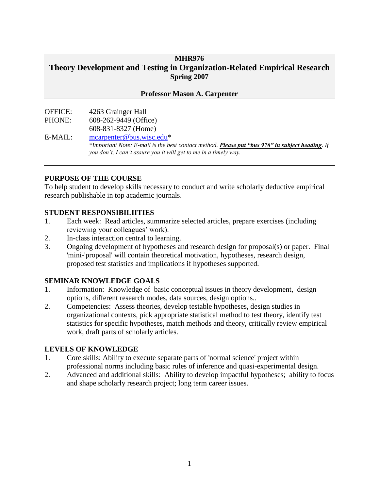## **MHR976 Theory Development and Testing in Organization-Related Empirical Research Spring 2007**

| <b>Professor Mason A. Carpenter</b> |                                                                                                                                                                     |  |  |  |
|-------------------------------------|---------------------------------------------------------------------------------------------------------------------------------------------------------------------|--|--|--|
|                                     |                                                                                                                                                                     |  |  |  |
| <b>OFFICE:</b>                      | 4263 Grainger Hall                                                                                                                                                  |  |  |  |
| <b>PHONE:</b>                       | 608-262-9449 (Office)                                                                                                                                               |  |  |  |
|                                     | 608-831-8327 (Home)                                                                                                                                                 |  |  |  |
| E-MAIL:                             | mcarpenter@bus.wisc.edu*                                                                                                                                            |  |  |  |
|                                     | *Important Note: E-mail is the best contact method. Please put "bus 976" in subject heading. If<br>you don't, I can't assure you it will get to me in a timely way. |  |  |  |

## **PURPOSE OF THE COURSE**

To help student to develop skills necessary to conduct and write scholarly deductive empirical research publishable in top academic journals.

## **STUDENT RESPONSIBILIITIES**

- 1. Each week: Read articles, summarize selected articles, prepare exercises (including reviewing your colleagues' work).
- 2. In-class interaction central to learning.
- 3. Ongoing development of hypotheses and research design for proposal(s) or paper. Final 'mini-'proposal' will contain theoretical motivation, hypotheses, research design, proposed test statistics and implications if hypotheses supported.

## **SEMINAR KNOWLEDGE GOALS**

- 1. Information: Knowledge of basic conceptual issues in theory development, design options, different research modes, data sources, design options..
- 2. Competencies: Assess theories, develop testable hypotheses, design studies in organizational contexts, pick appropriate statistical method to test theory, identify test statistics for specific hypotheses, match methods and theory, critically review empirical work, draft parts of scholarly articles.

## **LEVELS OF KNOWLEDGE**

- 1. Core skills: Ability to execute separate parts of 'normal science' project within professional norms including basic rules of inference and quasi-experimental design.
- 2. Advanced and additional skills: Ability to develop impactful hypotheses; ability to focus and shape scholarly research project; long term career issues.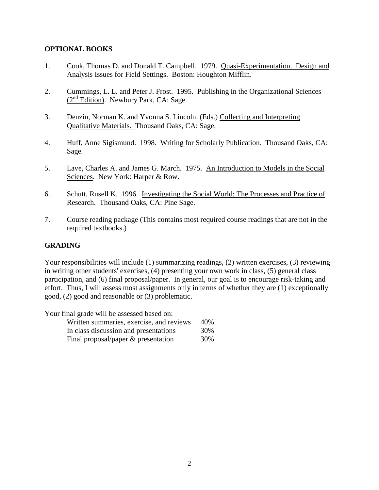## **OPTIONAL BOOKS**

- 1. Cook, Thomas D. and Donald T. Campbell. 1979. Quasi-Experimentation. Design and Analysis Issues for Field Settings. Boston: Houghton Mifflin.
- 2. Cummings, L. L. and Peter J. Frost. 1995. Publishing in the Organizational Sciences  $(2<sup>nd</sup> Edition)$ . Newbury Park, CA: Sage.
- 3. Denzin, Norman K. and Yvonna S. Lincoln. (Eds.) Collecting and Interpreting Qualitative Materials. Thousand Oaks, CA: Sage.
- 4. Huff, Anne Sigismund. 1998. Writing for Scholarly Publication. Thousand Oaks, CA: Sage.
- 5. Lave, Charles A. and James G. March. 1975. An Introduction to Models in the Social Sciences. New York: Harper & Row.
- 6. Schutt, Rusell K. 1996. Investigating the Social World: The Processes and Practice of Research. Thousand Oaks, CA: Pine Sage.
- 7. Course reading package (This contains most required course readings that are not in the required textbooks.)

## **GRADING**

Your responsibilities will include (1) summarizing readings, (2) written exercises, (3) reviewing in writing other students' exercises, (4) presenting your own work in class, (5) general class participation, and (6) final proposal/paper. In general, our goal is to encourage risk-taking and effort. Thus, I will assess most assignments only in terms of whether they are (1) exceptionally good, (2) good and reasonable or (3) problematic.

Your final grade will be assessed based on:

| Written summaries, exercise, and reviews | 40% |
|------------------------------------------|-----|
| In class discussion and presentations    | 30% |
| Final proposal/paper $&$ presentation    | 30% |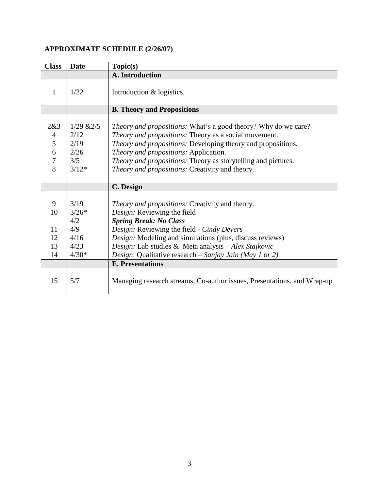## **APPROXIMATE SCHEDULE (2/26/07)**

| <b>Class</b>     | <b>Date</b>    | Topic(s)                                                                |
|------------------|----------------|-------------------------------------------------------------------------|
|                  |                | A. Introduction                                                         |
| $\mathbf{1}$     | 1/22           | Introduction & logistics.                                               |
|                  |                | <b>B. Theory and Propositions</b>                                       |
|                  |                |                                                                         |
| 2&3              | $1/29$ & $2/5$ | <i>Theory and propositions:</i> What's a good theory? Why do we care?   |
| $\overline{4}$   | 2/12           | Theory and propositions: Theory as a social movement.                   |
| 5                | 2/19           | Theory and propositions: Developing theory and propositions.            |
| 6                | 2/26           | Theory and propositions: Application.                                   |
| $\boldsymbol{7}$ | 3/5            | Theory and propositions: Theory as storytelling and pictures.           |
| 8                | $3/12*$        | Theory and propositions: Creativity and theory.                         |
|                  |                |                                                                         |
|                  |                | C. Design                                                               |
|                  |                |                                                                         |
| 9                | 3/19           | Theory and propositions: Creativity and theory.                         |
| 10               | $3/26*$        | Design: Reviewing the field $-$                                         |
|                  | 4/2            | <b>Spring Break: No Class</b>                                           |
| 11               | 4/9            | Design: Reviewing the field - Cindy Devers                              |
| 12               | 4/16           | Design: Modeling and simulations (plus, discuss reviews)                |
| 13               | 4/23           | Design: Lab studies & Meta analysis - Alex Stajkovic                    |
| 14               | $4/30*$        | Design: Qualitative research - Sanjay Jain (May 1 or 2)                 |
|                  |                | <b>E. Presentations</b>                                                 |
| 15               | 5/7            | Managing research streams, Co-author issues, Presentations, and Wrap-up |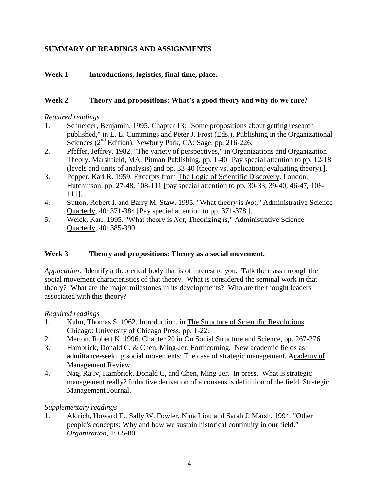## **SUMMARY OF READINGS AND ASSIGNMENTS**

## **Week 1 Introductions, logistics, final time, place.**

## **Week 2 Theory and propositions: What's a good theory and why do we care?**

#### *Required readings*

- 1. Schneider, Benjamin. 1995. Chapter 13: "Some propositions about getting research published," in L. L. Cummings and Peter J. Frost (Eds.), Publishing in the Organizational Sciences ( $2<sup>nd</sup>$  Edition). Newbury Park, CA: Sage. pp. 216-226.
- 2. Pfeffer, Jeffrey. 1982. "The variety of perspectives," in Organizations and Organization Theory. Marshfield, MA: Pitman Publishing. pp. 1-40 [Pay special attention to pp. 12-18 (levels and units of analysis) and pp. 33-40 (theory vs. application; evaluating theory).].
- 3. Popper, Karl R. 1959. Excerpts from The Logic of Scientific Discovery. London: Hutchinson. pp. 27-48, 108-111 [pay special attention to pp. 30-33, 39-40, 46-47, 108- 111].
- 4. Sutton, Robert I. and Barry M. Staw. 1995. "What theory is *Not*," Administrative Science Quarterly, 40: 371-384 [Pay special attention to pp. 371-378.].
- 5. Weick, Karl. 1995. "What theory is *Not*, Theorizing *is*," Administrative Science Quarterly, 40: 385-390.

## **Week 3 Theory and propositions: Theory as a social movement.**

*Application*: Identify a theoretical body that is of interest to you. Talk the class through the social movement characteristics of that theory. What is considered the seminal work in that theory? What are the major milestones in its developments? Who are the thought leaders associated with this theory?

#### *Required readings*

- 1. Kuhn, Thomas S. 1962. Introduction, in The Structure of Scientific Revolutions. Chicago: University of Chicago Press. pp. 1-22.
- 2. Merton, Robert K. 1996. Chapter 20 in On Social Structure and Science, pp. 267-276.
- 3. Hambrick, Donald C. & Chen, Ming-Jer. Forthcoming. New academic fields as admittance-seeking social movements: The case of strategic management, Academy of Management Review.
- 4. Nag, Rajiv, Hambrick, Donald C, and Chen, Ming-Jer. In press. What is strategic management really? Inductive derivation of a consensus definition of the field, Strategic Management Journal.

## *Supplementary readings*

1. Aldrich, Howard E., Sally W. Fowler, Nina Liou and Sarah J. Marsh. 1994. "Other people's concepts: Why and how we sustain historical continuity in our field." *Organization*, 1: 65-80.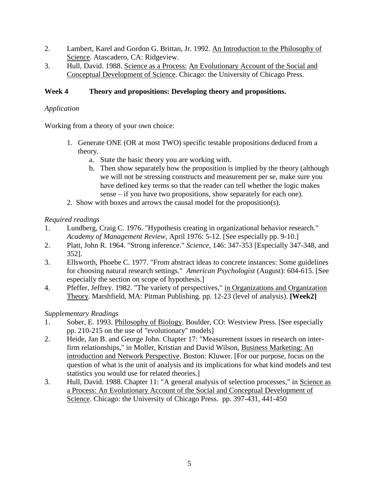- 2. Lambert, Karel and Gordon G. Brittan, Jr. 1992. An Introduction to the Philosophy of Science. Atascadero, CA: Ridgeview.
- 3. Hull, David. 1988. Science as a Process: An Evolutionary Account of the Social and Conceptual Development of Science. Chicago: the University of Chicago Press.

## **Week 4 Theory and propositions: Developing theory and propositions.**

## *Application*

Working from a theory of your own choice:

- 1. Generate ONE (OR at most TWO) specific testable propositions deduced from a theory.
	- a. State the basic theory you are working with.
	- b. Then show separately how the proposition is implied by the theory (although we will not be stressing constructs and measurement per se, make sure you have defined key terms so that the reader can tell whether the logic makes sense – if you have two propositions, show separately for each one).
- 2. Show with boxes and arrows the causal model for the proposition(s).

## *Required readings*

- 1. Lundberg, Craig C. 1976. "Hypothesis creating in organizational behavior research." *Academy of Management Review,* April 1976: 5-12. [See especially pp. 9-10.]
- 2. Platt, John R. 1964. "Strong inference." *Science*, 146: 347-353 [Especially 347-348, and 352].
- 3. Ellsworth, Phoebe C. 1977. "From abstract ideas to concrete instances: Some guidelines for choosing natural research settings." *American Psychologist* (August): 604-615. [See especially the section on scope of hypothesis.]
- 4. Pfeffer, Jeffrey. 1982. "The variety of perspectives," in Organizations and Organization Theory. Marshfield, MA: Pitman Publishing. pp. 12-23 (level of analysis). **[Week2]**

## *Supplementary Readings*

- 1. Sober, E. 1993. Philosophy of Biology. Boulder, CO: Westview Press. [See especially pp. 210-215 on the use of "evolutionary" models]
- 2. Heide, Jan B. and George John. Chapter 17: "Measurement issues in research on interfirm relationships," in Moller, Kristian and David Wilson, Business Marketing: An introduction and Network Perspective. Boston: Kluwer. [For our purpose, focus on the question of what is the unit of analysis and its implications for what kind models and test statistics you would use for related theories.]
- 3. Hull, David. 1988. Chapter 11: "A general analysis of selection processes," in Science as a Process: An Evolutionary Account of the Social and Conceptual Development of Science. Chicago: the University of Chicago Press. pp. 397-431, 441-450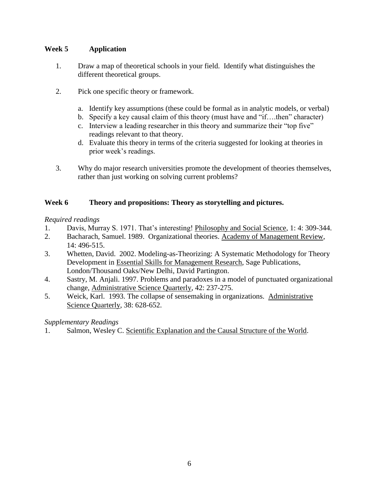## **Week 5 Application**

- 1. Draw a map of theoretical schools in your field. Identify what distinguishes the different theoretical groups.
- 2. Pick one specific theory or framework.
	- a. Identify key assumptions (these could be formal as in analytic models, or verbal)
	- b. Specify a key causal claim of this theory (must have and "if….then" character)
	- c. Interview a leading researcher in this theory and summarize their "top five" readings relevant to that theory.
	- d. Evaluate this theory in terms of the criteria suggested for looking at theories in prior week's readings.
- 3. Why do major research universities promote the development of theories themselves, rather than just working on solving current problems?

## **Week 6 Theory and propositions: Theory as storytelling and pictures.**

## *Required readings*

- 1. Davis, Murray S. 1971. That's interesting! Philosophy and Social Science, 1: 4: 309-344.
- 2. Bacharach, Samuel. 1989. Organizational theories. Academy of Management Review, 14: 496-515.
- 3. Whetten, David. 2002. Modeling-as-Theorizing: A Systematic Methodology for Theory Development in Essential Skills for Management Research, Sage Publications, London/Thousand Oaks/New Delhi, David Partington.
- 4. Sastry, M. Anjali. 1997. Problems and paradoxes in a model of punctuated organizational change, Administrative Science Quarterly, 42: 237-275.
- 5. Weick, Karl. 1993. The collapse of sensemaking in organizations. Administrative Science Quarterly, 38: 628-652.

## *Supplementary Readings*

1. Salmon, Wesley C. Scientific Explanation and the Causal Structure of the World.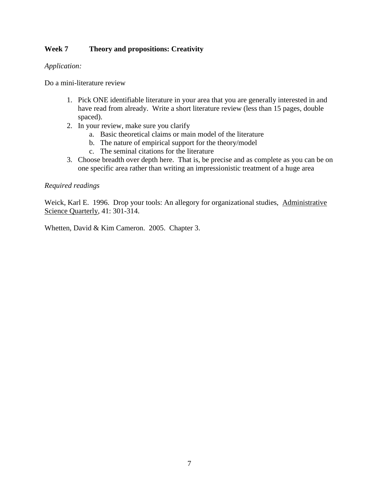## **Week 7 Theory and propositions: Creativity**

#### *Application:*

Do a mini-literature review

- 1. Pick ONE identifiable literature in your area that you are generally interested in and have read from already. Write a short literature review (less than 15 pages, double spaced).
- 2. In your review, make sure you clarify
	- a. Basic theoretical claims or main model of the literature
	- b. The nature of empirical support for the theory/model
	- c. The seminal citations for the literature
- 3. Choose breadth over depth here. That is, be precise and as complete as you can be on one specific area rather than writing an impressionistic treatment of a huge area

#### *Required readings*

Weick, Karl E. 1996. Drop your tools: An allegory for organizational studies, Administrative Science Quarterly, 41: 301-314.

Whetten, David & Kim Cameron. 2005. Chapter 3.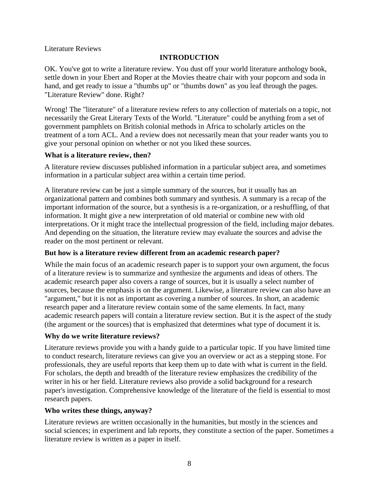#### Literature Reviews

## **INTRODUCTION**

OK. You've got to write a literature review. You dust off your world literature anthology book, settle down in your Ebert and Roper at the Movies theatre chair with your popcorn and soda in hand, and get ready to issue a "thumbs up" or "thumbs down" as you leaf through the pages. "Literature Review" done. Right?

Wrong! The "literature" of a literature review refers to any collection of materials on a topic, not necessarily the Great Literary Texts of the World. "Literature" could be anything from a set of government pamphlets on British colonial methods in Africa to scholarly articles on the treatment of a torn ACL. And a review does not necessarily mean that your reader wants you to give your personal opinion on whether or not you liked these sources.

#### **What is a literature review, then?**

A literature review discusses published information in a particular subject area, and sometimes information in a particular subject area within a certain time period.

A literature review can be just a simple summary of the sources, but it usually has an organizational pattern and combines both summary and synthesis. A summary is a recap of the important information of the source, but a synthesis is a re-organization, or a reshuffling, of that information. It might give a new interpretation of old material or combine new with old interpretations. Or it might trace the intellectual progression of the field, including major debates. And depending on the situation, the literature review may evaluate the sources and advise the reader on the most pertinent or relevant.

## **But how is a literature review different from an academic research paper?**

While the main focus of an academic research paper is to support your own argument, the focus of a literature review is to summarize and synthesize the arguments and ideas of others. The academic research paper also covers a range of sources, but it is usually a select number of sources, because the emphasis is on the argument. Likewise, a literature review can also have an "argument," but it is not as important as covering a number of sources. In short, an academic research paper and a literature review contain some of the same elements. In fact, many academic research papers will contain a literature review section. But it is the aspect of the study (the argument or the sources) that is emphasized that determines what type of document it is.

## **Why do we write literature reviews?**

Literature reviews provide you with a handy guide to a particular topic. If you have limited time to conduct research, literature reviews can give you an overview or act as a stepping stone. For professionals, they are useful reports that keep them up to date with what is current in the field. For scholars, the depth and breadth of the literature review emphasizes the credibility of the writer in his or her field. Literature reviews also provide a solid background for a research paper's investigation. Comprehensive knowledge of the literature of the field is essential to most research papers.

#### **Who writes these things, anyway?**

Literature reviews are written occasionally in the humanities, but mostly in the sciences and social sciences; in experiment and lab reports, they constitute a section of the paper. Sometimes a literature review is written as a paper in itself.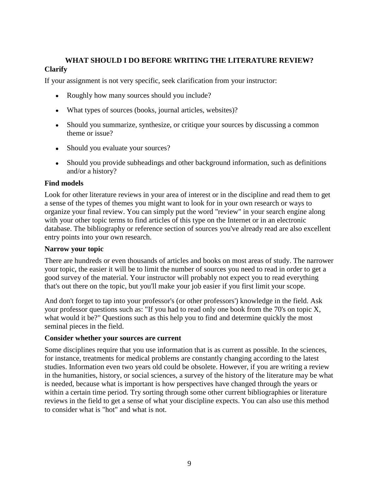# **WHAT SHOULD I DO BEFORE WRITING THE LITERATURE REVIEW?**

## **Clarify**

If your assignment is not very specific, seek clarification from your instructor:

- Roughly how many sources should you include?  $\bullet$
- What types of sources (books, journal articles, websites)?
- Should you summarize, synthesize, or critique your sources by discussing a common theme or issue?
- Should you evaluate your sources?
- Should you provide subheadings and other background information, such as definitions and/or a history?

#### **Find models**

Look for other literature reviews in your area of interest or in the discipline and read them to get a sense of the types of themes you might want to look for in your own research or ways to organize your final review. You can simply put the word "review" in your search engine along with your other topic terms to find articles of this type on the Internet or in an electronic database. The bibliography or reference section of sources you've already read are also excellent entry points into your own research.

#### **Narrow your topic**

There are hundreds or even thousands of articles and books on most areas of study. The narrower your topic, the easier it will be to limit the number of sources you need to read in order to get a good survey of the material. Your instructor will probably not expect you to read everything that's out there on the topic, but you'll make your job easier if you first limit your scope.

And don't forget to tap into your professor's (or other professors') knowledge in the field. Ask your professor questions such as: "If you had to read only one book from the 70's on topic X, what would it be?" Questions such as this help you to find and determine quickly the most seminal pieces in the field.

#### **Consider whether your sources are current**

Some disciplines require that you use information that is as current as possible. In the sciences, for instance, treatments for medical problems are constantly changing according to the latest studies. Information even two years old could be obsolete. However, if you are writing a review in the humanities, history, or social sciences, a survey of the history of the literature may be what is needed, because what is important is how perspectives have changed through the years or within a certain time period. Try sorting through some other current bibliographies or literature reviews in the field to get a sense of what your discipline expects. You can also use this method to consider what is "hot" and what is not.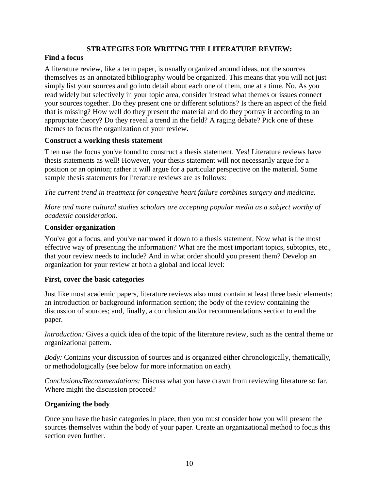## **STRATEGIES FOR WRITING THE LITERATURE REVIEW:**

#### **Find a focus**

A literature review, like a term paper, is usually organized around ideas, not the sources themselves as an annotated bibliography would be organized. This means that you will not just simply list your sources and go into detail about each one of them, one at a time. No. As you read widely but selectively in your topic area, consider instead what themes or issues connect your sources together. Do they present one or different solutions? Is there an aspect of the field that is missing? How well do they present the material and do they portray it according to an appropriate theory? Do they reveal a trend in the field? A raging debate? Pick one of these themes to focus the organization of your review.

#### **Construct a working thesis statement**

Then use the focus you've found to construct a thesis statement. Yes! Literature reviews have thesis statements as well! However, your thesis statement will not necessarily argue for a position or an opinion; rather it will argue for a particular perspective on the material. Some sample thesis statements for literature reviews are as follows:

*The current trend in treatment for congestive heart failure combines surgery and medicine.*

*More and more cultural studies scholars are accepting popular media as a subject worthy of academic consideration.*

#### **Consider organization**

You've got a focus, and you've narrowed it down to a thesis statement. Now what is the most effective way of presenting the information? What are the most important topics, subtopics, etc., that your review needs to include? And in what order should you present them? Develop an organization for your review at both a global and local level:

## **First, cover the basic categories**

Just like most academic papers, literature reviews also must contain at least three basic elements: an introduction or background information section; the body of the review containing the discussion of sources; and, finally, a conclusion and/or recommendations section to end the paper.

*Introduction:* Gives a quick idea of the topic of the literature review, such as the central theme or organizational pattern.

*Body:* Contains your discussion of sources and is organized either chronologically, thematically, or methodologically (see below for more information on each).

*Conclusions/Recommendations:* Discuss what you have drawn from reviewing literature so far. Where might the discussion proceed?

## **Organizing the body**

Once you have the basic categories in place, then you must consider how you will present the sources themselves within the body of your paper. Create an organizational method to focus this section even further.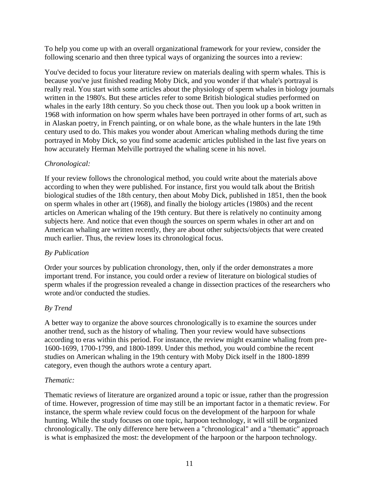To help you come up with an overall organizational framework for your review, consider the following scenario and then three typical ways of organizing the sources into a review:

You've decided to focus your literature review on materials dealing with sperm whales. This is because you've just finished reading Moby Dick, and you wonder if that whale's portrayal is really real. You start with some articles about the physiology of sperm whales in biology journals written in the 1980's. But these articles refer to some British biological studies performed on whales in the early 18th century. So you check those out. Then you look up a book written in 1968 with information on how sperm whales have been portrayed in other forms of art, such as in Alaskan poetry, in French painting, or on whale bone, as the whale hunters in the late 19th century used to do. This makes you wonder about American whaling methods during the time portrayed in Moby Dick, so you find some academic articles published in the last five years on how accurately Herman Melville portrayed the whaling scene in his novel.

## *Chronological:*

If your review follows the chronological method, you could write about the materials above according to when they were published. For instance, first you would talk about the British biological studies of the 18th century, then about Moby Dick, published in 1851, then the book on sperm whales in other art (1968), and finally the biology articles (1980s) and the recent articles on American whaling of the 19th century. But there is relatively no continuity among subjects here. And notice that even though the sources on sperm whales in other art and on American whaling are written recently, they are about other subjects/objects that were created much earlier. Thus, the review loses its chronological focus.

## *By Publication*

Order your sources by publication chronology, then, only if the order demonstrates a more important trend. For instance, you could order a review of literature on biological studies of sperm whales if the progression revealed a change in dissection practices of the researchers who wrote and/or conducted the studies.

## *By Trend*

A better way to organize the above sources chronologically is to examine the sources under another trend, such as the history of whaling. Then your review would have subsections according to eras within this period. For instance, the review might examine whaling from pre-1600-1699, 1700-1799, and 1800-1899. Under this method, you would combine the recent studies on American whaling in the 19th century with Moby Dick itself in the 1800-1899 category, even though the authors wrote a century apart.

## *Thematic:*

Thematic reviews of literature are organized around a topic or issue, rather than the progression of time. However, progression of time may still be an important factor in a thematic review. For instance, the sperm whale review could focus on the development of the harpoon for whale hunting. While the study focuses on one topic, harpoon technology, it will still be organized chronologically. The only difference here between a "chronological" and a "thematic" approach is what is emphasized the most: the development of the harpoon or the harpoon technology.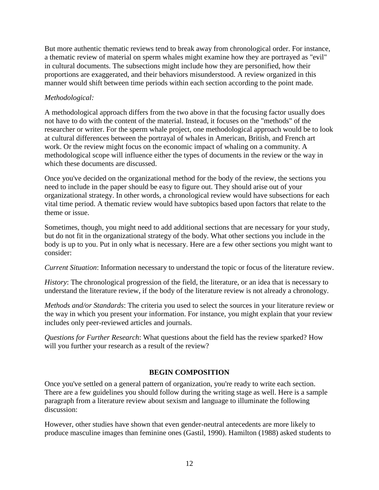But more authentic thematic reviews tend to break away from chronological order. For instance, a thematic review of material on sperm whales might examine how they are portrayed as "evil" in cultural documents. The subsections might include how they are personified, how their proportions are exaggerated, and their behaviors misunderstood. A review organized in this manner would shift between time periods within each section according to the point made.

## *Methodological:*

A methodological approach differs from the two above in that the focusing factor usually does not have to do with the content of the material. Instead, it focuses on the "methods" of the researcher or writer. For the sperm whale project, one methodological approach would be to look at cultural differences between the portrayal of whales in American, British, and French art work. Or the review might focus on the economic impact of whaling on a community. A methodological scope will influence either the types of documents in the review or the way in which these documents are discussed.

Once you've decided on the organizational method for the body of the review, the sections you need to include in the paper should be easy to figure out. They should arise out of your organizational strategy. In other words, a chronological review would have subsections for each vital time period. A thematic review would have subtopics based upon factors that relate to the theme or issue.

Sometimes, though, you might need to add additional sections that are necessary for your study, but do not fit in the organizational strategy of the body. What other sections you include in the body is up to you. Put in only what is necessary. Here are a few other sections you might want to consider:

*Current Situation*: Information necessary to understand the topic or focus of the literature review.

*History*: The chronological progression of the field, the literature, or an idea that is necessary to understand the literature review, if the body of the literature review is not already a chronology.

*Methods and/or Standards*: The criteria you used to select the sources in your literature review or the way in which you present your information. For instance, you might explain that your review includes only peer-reviewed articles and journals.

*Questions for Further Research*: What questions about the field has the review sparked? How will you further your research as a result of the review?

## **BEGIN COMPOSITION**

Once you've settled on a general pattern of organization, you're ready to write each section. There are a few guidelines you should follow during the writing stage as well. Here is a sample paragraph from a literature review about sexism and language to illuminate the following discussion:

However, other studies have shown that even gender-neutral antecedents are more likely to produce masculine images than feminine ones (Gastil, 1990). Hamilton (1988) asked students to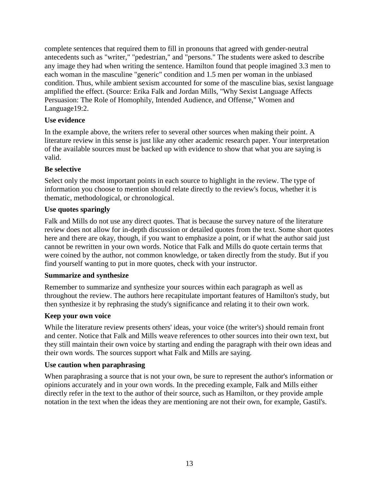complete sentences that required them to fill in pronouns that agreed with gender-neutral antecedents such as "writer," "pedestrian," and "persons." The students were asked to describe any image they had when writing the sentence. Hamilton found that people imagined 3.3 men to each woman in the masculine "generic" condition and 1.5 men per woman in the unbiased condition. Thus, while ambient sexism accounted for some of the masculine bias, sexist language amplified the effect. (Source: Erika Falk and Jordan Mills, "Why Sexist Language Affects Persuasion: The Role of Homophily, Intended Audience, and Offense," Women and Language19:2.

## **Use evidence**

In the example above, the writers refer to several other sources when making their point. A literature review in this sense is just like any other academic research paper. Your interpretation of the available sources must be backed up with evidence to show that what you are saying is valid.

## **Be selective**

Select only the most important points in each source to highlight in the review. The type of information you choose to mention should relate directly to the review's focus, whether it is thematic, methodological, or chronological.

## **Use quotes sparingly**

Falk and Mills do not use any direct quotes. That is because the survey nature of the literature review does not allow for in-depth discussion or detailed quotes from the text. Some short quotes here and there are okay, though, if you want to emphasize a point, or if what the author said just cannot be rewritten in your own words. Notice that Falk and Mills do quote certain terms that were coined by the author, not common knowledge, or taken directly from the study. But if you find yourself wanting to put in more quotes, check with your instructor.

## **Summarize and synthesize**

Remember to summarize and synthesize your sources within each paragraph as well as throughout the review. The authors here recapitulate important features of Hamilton's study, but then synthesize it by rephrasing the study's significance and relating it to their own work.

## **Keep your own voice**

While the literature review presents others' ideas, your voice (the writer's) should remain front and center. Notice that Falk and Mills weave references to other sources into their own text, but they still maintain their own voice by starting and ending the paragraph with their own ideas and their own words. The sources support what Falk and Mills are saying.

## **Use caution when paraphrasing**

When paraphrasing a source that is not your own, be sure to represent the author's information or opinions accurately and in your own words. In the preceding example, Falk and Mills either directly refer in the text to the author of their source, such as Hamilton, or they provide ample notation in the text when the ideas they are mentioning are not their own, for example, Gastil's.